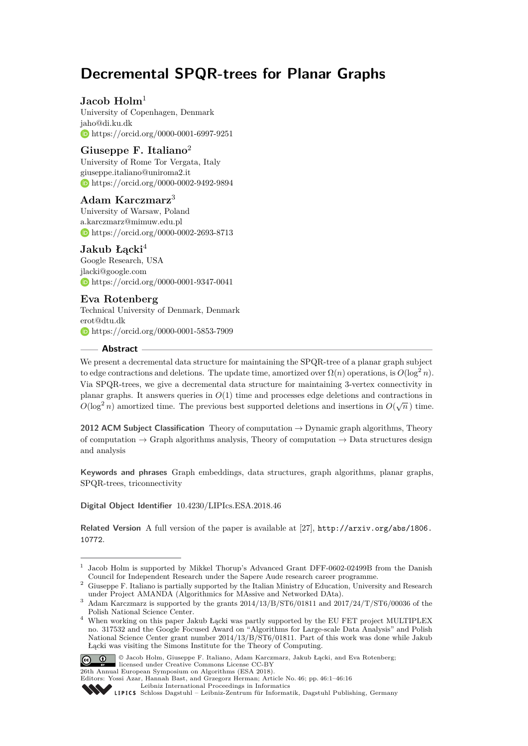# **Decremental SPQR-trees for Planar Graphs**

# **Jacob Holm**<sup>1</sup>

University of Copenhagen, Denmark [jaho@di.ku.dk](mailto:jaho@di.ku.dk) <https://orcid.org/0000-0001-6997-9251>

# **Giuseppe F. Italiano**<sup>2</sup>

University of Rome Tor Vergata, Italy [giuseppe.italiano@uniroma2.it](mailto:giuseppe.italiano@uniroma2.it) <https://orcid.org/0000-0002-9492-9894>

## **Adam Karczmarz**<sup>3</sup>

University of Warsaw, Poland [a.karczmarz@mimuw.edu.pl](mailto:a.karczmarz@mimuw.edu.pl) <https://orcid.org/0000-0002-2693-8713>

# **Jakub Łącki**<sup>4</sup>

Google Research, USA [jlacki@google.com](mailto:jlacki@google.com) <https://orcid.org/0000-0001-9347-0041>

# **Eva Rotenberg**

Technical University of Denmark, Denmark [erot@dtu.dk](mailto:erot@dtu.dk) <https://orcid.org/0000-0001-5853-7909>

## **Abstract**

We present a decremental data structure for maintaining the SPQR-tree of a planar graph subject to edge contractions and deletions. The update time, amortized over  $\Omega(n)$  operations, is  $O(\log^2 n)$ . Via SPQR-trees, we give a decremental data structure for maintaining 3-vertex connectivity in planar graphs. It answers queries in  $O(1)$  time and processes edge deletions and contractions in  $O(\log^2 n)$  amortized time. The previous best supported deletions and insertions in  $O(\sqrt{n})$  time.

**2012 ACM Subject Classification** Theory of computation → Dynamic graph algorithms, Theory of computation  $\rightarrow$  Graph algorithms analysis, Theory of computation  $\rightarrow$  Data structures design and analysis

**Keywords and phrases** Graph embeddings, data structures, graph algorithms, planar graphs, SPQR-trees, triconnectivity

**Digital Object Identifier** [10.4230/LIPIcs.ESA.2018.46](http://dx.doi.org/10.4230/LIPIcs.ESA.2018.46)

**Related Version** A full version of the paper is available at [\[27\]](#page-13-0), [http://arxiv.org/abs/1806.](http://arxiv.org/abs/1806.10772) [10772](http://arxiv.org/abs/1806.10772).

<sup>4</sup> When working on this paper Jakub Łącki was partly supported by the EU FET project MULTIPLEX no. 317532 and the Google Focused Award on "Algorithms for Large-scale Data Analysis" and Polish National Science Center grant number 2014/13/B/ST6/01811. Part of this work was done while Jakub Łącki was visiting the Simons Institute for the Theory of Computing.



<sup>©</sup> Jacob Holm, Giuseppe F. Italiano, Adam Karczmarz, Jakub Łącki, and Eva Rotenberg; licensed under Creative Commons License CC-BY 26th Annual European Symposium on Algorithms (ESA 2018).

<sup>1</sup> Jacob Holm is supported by Mikkel Thorup's Advanced Grant DFF-0602-02499B from the Danish Council for Independent Research under the Sapere Aude research career programme.

<sup>2</sup> Giuseppe F. Italiano is partially supported by the Italian Ministry of Education, University and Research under Project AMANDA (Algorithmics for MAssive and Networked DAta).

Adam Karczmarz is supported by the grants  $2014/13/B/ST6/01811$  and  $2017/24/T/ST6/00036$  of the Polish National Science Center.

Editors: Yossi Azar, Hannah Bast, and Grzegorz Herman; Article No. 46; pp. 46:1–46[:16](#page-15-0)

[Leibniz International Proceedings in Informatics](http://www.dagstuhl.de/lipics/)

SCHLOS Schloss Dagstuhl – Leibniz-Zentrum für Informatik, Dagstuhl Publishing, Germany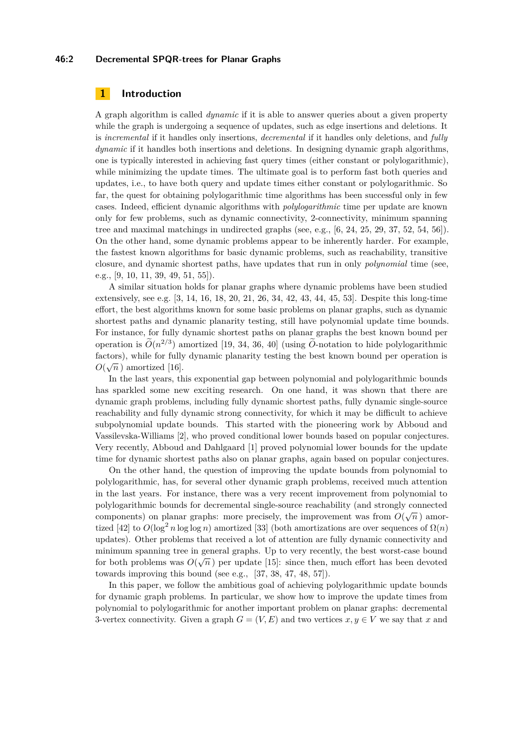#### **46:2 Decremental SPQR-trees for Planar Graphs**

## **1 Introduction**

A graph algorithm is called *dynamic* if it is able to answer queries about a given property while the graph is undergoing a sequence of updates, such as edge insertions and deletions. It is *incremental* if it handles only insertions, *decremental* if it handles only deletions, and *fully dynamic* if it handles both insertions and deletions. In designing dynamic graph algorithms, one is typically interested in achieving fast query times (either constant or polylogarithmic), while minimizing the update times. The ultimate goal is to perform fast both queries and updates, i.e., to have both query and update times either constant or polylogarithmic. So far, the quest for obtaining polylogarithmic time algorithms has been successful only in few cases. Indeed, efficient dynamic algorithms with *polylogarithmic* time per update are known only for few problems, such as dynamic connectivity, 2-connectivity, minimum spanning tree and maximal matchings in undirected graphs (see, e.g., [\[6,](#page-12-0) [24,](#page-13-1) [25,](#page-13-2) [29,](#page-13-3) [37,](#page-14-0) [52,](#page-15-1) [54,](#page-15-2) [56\]](#page-15-3)). On the other hand, some dynamic problems appear to be inherently harder. For example, the fastest known algorithms for basic dynamic problems, such as reachability, transitive closure, and dynamic shortest paths, have updates that run in only *polynomial* time (see, e.g., [\[9,](#page-12-1) [10,](#page-12-2) [11,](#page-12-3) [39,](#page-14-1) [49,](#page-14-2) [51,](#page-15-4) [55\]](#page-15-5)).

A similar situation holds for planar graphs where dynamic problems have been studied extensively, see e.g. [\[3,](#page-12-4) [14,](#page-12-5) [16,](#page-12-6) [18,](#page-12-7) [20,](#page-13-4) [21,](#page-13-5) [26,](#page-13-6) [34,](#page-13-7) [42,](#page-14-3) [43,](#page-14-4) [44,](#page-14-5) [45,](#page-14-6) [53\]](#page-15-6). Despite this long-time effort, the best algorithms known for some basic problems on planar graphs, such as dynamic shortest paths and dynamic planarity testing, still have polynomial update time bounds. For instance, for fully dynamic shortest paths on planar graphs the best known bound per operation is  $O(n^{2/3})$  amortized [\[19,](#page-13-8) [34,](#page-13-7) [36,](#page-14-7) [40\]](#page-14-8) (using *O*-notation to hide polylogarithmic factors), while for fully dynamic planarity testing the best known bound per operation is  $\alpha(\vec{r})$ .  $O(\sqrt{n})$  amortized [\[16\]](#page-12-6).

In the last years, this exponential gap between polynomial and polylogarithmic bounds has sparkled some new exciting research. On one hand, it was shown that there are dynamic graph problems, including fully dynamic shortest paths, fully dynamic single-source reachability and fully dynamic strong connectivity, for which it may be difficult to achieve subpolynomial update bounds. This started with the pioneering work by Abboud and Vassilevska-Williams [\[2\]](#page-12-8), who proved conditional lower bounds based on popular conjectures. Very recently, Abboud and Dahlgaard [\[1\]](#page-11-0) proved polynomial lower bounds for the update time for dynamic shortest paths also on planar graphs, again based on popular conjectures.

On the other hand, the question of improving the update bounds from polynomial to polylogarithmic, has, for several other dynamic graph problems, received much attention in the last years. For instance, there was a very recent improvement from polynomial to polylogarithmic bounds for decremental single-source reachability (and strongly connected  $\sim$   $\sim$   $\sim$   $\sim$ components) on planar graphs: more precisely, the improvement was from  $O(\sqrt{n})$  amor-tized [\[42\]](#page-14-3) to  $O(\log^2 n \log \log n)$  amortized [\[33\]](#page-13-9) (both amortizations are over sequences of  $\Omega(n)$ ) updates). Other problems that received a lot of attention are fully dynamic connectivity and minimum spanning tree in general graphs. Up to very recently, the best worst-case bound for both problems was  $O(\sqrt{n})$  per update [\[15\]](#page-12-9): since then, much effort has been devoted towards improving this bound (see e.g., [\[37,](#page-14-0) [38,](#page-14-9) [47,](#page-14-10) [48,](#page-14-11) [57\]](#page-15-7)).

In this paper, we follow the ambitious goal of achieving polylogarithmic update bounds for dynamic graph problems. In particular, we show how to improve the update times from polynomial to polylogarithmic for another important problem on planar graphs: decremental 3-vertex connectivity. Given a graph  $G = (V, E)$  and two vertices  $x, y \in V$  we say that x and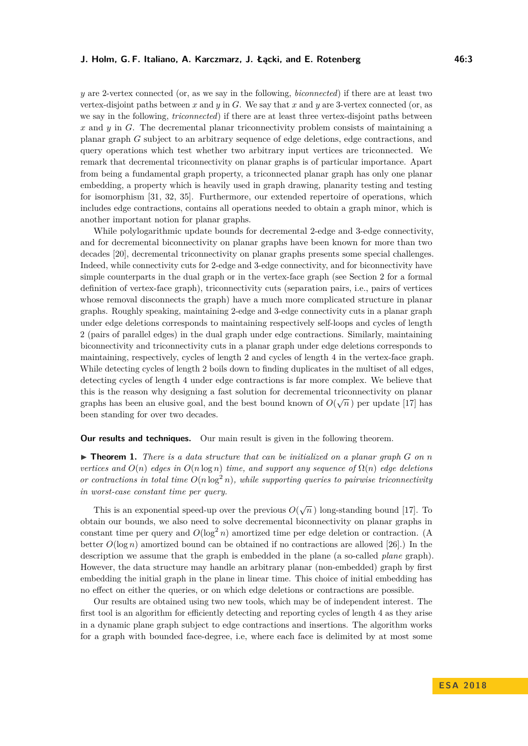*y* are 2-vertex connected (or, as we say in the following, *biconnected*) if there are at least two vertex-disjoint paths between *x* and *y* in *G*. We say that *x* and *y* are 3-vertex connected (or, as we say in the following, *triconnected*) if there are at least three vertex-disjoint paths between *x* and *y* in *G*. The decremental planar triconnectivity problem consists of maintaining a planar graph *G* subject to an arbitrary sequence of edge deletions, edge contractions, and query operations which test whether two arbitrary input vertices are triconnected. We remark that decremental triconnectivity on planar graphs is of particular importance. Apart from being a fundamental graph property, a triconnected planar graph has only one planar embedding, a property which is heavily used in graph drawing, planarity testing and testing for isomorphism [\[31,](#page-13-10) [32,](#page-13-11) [35\]](#page-13-12). Furthermore, our extended repertoire of operations, which includes edge contractions, contains all operations needed to obtain a graph minor, which is another important notion for planar graphs.

While polylogarithmic update bounds for decremental 2-edge and 3-edge connectivity, and for decremental biconnectivity on planar graphs have been known for more than two decades [\[20\]](#page-13-4), decremental triconnectivity on planar graphs presents some special challenges. Indeed, while connectivity cuts for 2-edge and 3-edge connectivity, and for biconnectivity have simple counterparts in the dual graph or in the vertex-face graph (see Section [2](#page-3-0) for a formal definition of vertex-face graph), triconnectivity cuts (separation pairs, i.e., pairs of vertices whose removal disconnects the graph) have a much more complicated structure in planar graphs. Roughly speaking, maintaining 2-edge and 3-edge connectivity cuts in a planar graph under edge deletions corresponds to maintaining respectively self-loops and cycles of length 2 (pairs of parallel edges) in the dual graph under edge contractions. Similarly, maintaining biconnectivity and triconnectivity cuts in a planar graph under edge deletions corresponds to maintaining, respectively, cycles of length 2 and cycles of length 4 in the vertex-face graph. While detecting cycles of length 2 boils down to finding duplicates in the multiset of all edges, detecting cycles of length 4 under edge contractions is far more complex. We believe that this is the reason why designing a fast solution for decremental triconnectivity on planar graphs has been an elusive goal, and the best bound known of  $O(\sqrt{n})$  per update [\[17\]](#page-12-10) has been standing for over two decades.

## **Our results and techniques.** Our main result is given in the following theorem.

 $\triangleright$  **Theorem 1.** There is a data structure that can be initialized on a planar graph G on n *vertices and*  $O(n)$  *edges in*  $O(n \log n)$  *time, and support any sequence of*  $\Omega(n)$  *edge deletions or contractions in total time*  $O(n \log^2 n)$ , while supporting queries to pairwise triconnectivity *in worst-case constant time per query.*

This is an exponential speed-up over the previous  $O(\sqrt{n})$  long-standing bound [\[17\]](#page-12-10). To obtain our bounds, we also need to solve decremental biconnectivity on planar graphs in constant time per query and  $O(\log^2 n)$  amortized time per edge deletion or contraction. (A better  $O(\log n)$  amortized bound can be obtained if no contractions are allowed [\[26\]](#page-13-6).) In the description we assume that the graph is embedded in the plane (a so-called *plane* graph). However, the data structure may handle an arbitrary planar (non-embedded) graph by first embedding the initial graph in the plane in linear time. This choice of initial embedding has no effect on either the queries, or on which edge deletions or contractions are possible.

Our results are obtained using two new tools, which may be of independent interest. The first tool is an algorithm for efficiently detecting and reporting cycles of length 4 as they arise in a dynamic plane graph subject to edge contractions and insertions. The algorithm works for a graph with bounded face-degree, i.e, where each face is delimited by at most some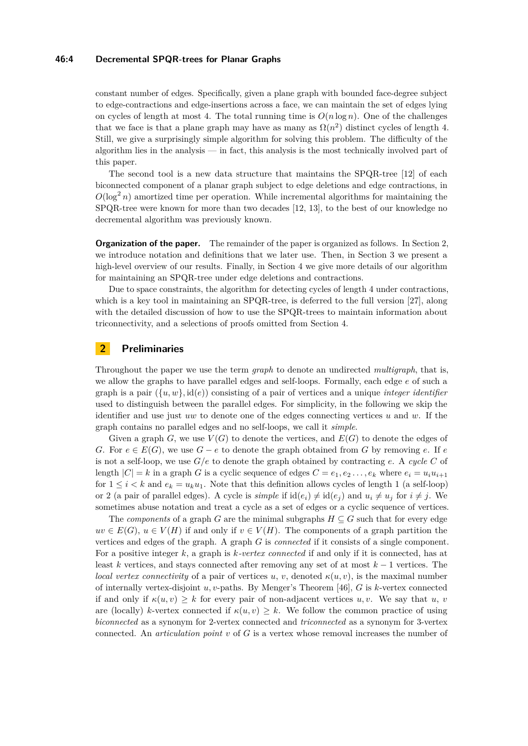#### **46:4 Decremental SPQR-trees for Planar Graphs**

constant number of edges. Specifically, given a plane graph with bounded face-degree subject to edge-contractions and edge-insertions across a face, we can maintain the set of edges lying on cycles of length at most 4. The total running time is  $O(n \log n)$ . One of the challenges that we face is that a plane graph may have as many as  $\Omega(n^2)$  distinct cycles of length 4. Still, we give a surprisingly simple algorithm for solving this problem. The difficulty of the algorithm lies in the analysis — in fact, this analysis is the most technically involved part of this paper.

The second tool is a new data structure that maintains the SPQR-tree [\[12\]](#page-12-11) of each biconnected component of a planar graph subject to edge deletions and edge contractions, in  $O(\log^2 n)$  amortized time per operation. While incremental algorithms for maintaining the SPQR-tree were known for more than two decades [\[12,](#page-12-11) [13\]](#page-12-12), to the best of our knowledge no decremental algorithm was previously known.

**Organization of the paper.** The remainder of the paper is organized as follows. In Section [2,](#page-3-0) we introduce notation and definitions that we later use. Then, in Section [3](#page-6-0) we present a high-level overview of our results. Finally, in Section [4](#page-9-0) we give more details of our algorithm for maintaining an SPQR-tree under edge deletions and contractions.

Due to space constraints, the algorithm for detecting cycles of length 4 under contractions, which is a key tool in maintaining an SPQR-tree, is deferred to the full version [\[27\]](#page-13-0), along with the detailed discussion of how to use the SPQR-trees to maintain information about triconnectivity, and a selections of proofs omitted from Section [4.](#page-9-0)

## <span id="page-3-0"></span>**2 Preliminaries**

Throughout the paper we use the term *graph* to denote an undirected *multigraph*, that is, we allow the graphs to have parallel edges and self-loops. Formally, each edge *e* of such a graph is a pair  $({u, w}, id(e))$  consisting of a pair of vertices and a unique *integer identifier* used to distinguish between the parallel edges. For simplicity, in the following we skip the identifier and use just *uw* to denote one of the edges connecting vertices *u* and *w*. If the graph contains no parallel edges and no self-loops, we call it *simple*.

Given a graph  $G$ , we use  $V(G)$  to denote the vertices, and  $E(G)$  to denote the edges of *G*. For  $e \in E(G)$ , we use  $G - e$  to denote the graph obtained from *G* by removing *e*. If *e* is not a self-loop, we use  $G/e$  to denote the graph obtained by contracting *e*. A *cycle* C of length  $|C| = k$  in a graph *G* is a cyclic sequence of edges  $C = e_1, e_2, \ldots, e_k$  where  $e_i = u_i u_{i+1}$ for  $1 \leq i \leq k$  and  $e_k = u_k u_1$ . Note that this definition allows cycles of length 1 (a self-loop) or 2 (a pair of parallel edges). A cycle is *simple* if  $id(e_i) \neq id(e_j)$  and  $u_i \neq u_j$  for  $i \neq j$ . We sometimes abuse notation and treat a cycle as a set of edges or a cyclic sequence of vertices.

The *components* of a graph *G* are the minimal subgraphs  $H \subseteq G$  such that for every edge  $uv \in E(G)$ ,  $u \in V(H)$  if and only if  $v \in V(H)$ . The components of a graph partition the vertices and edges of the graph. A graph *G* is *connected* if it consists of a single component. For a positive integer *k*, a graph is *k-vertex connected* if and only if it is connected, has at least *k* vertices, and stays connected after removing any set of at most *k* − 1 vertices. The *local vertex connectivity* of a pair of vertices *u*, *v*, denoted  $\kappa(u, v)$ , is the maximal number of internally vertex-disjoint *u, v*-paths. By Menger's Theorem [\[46\]](#page-14-12), *G* is *k*-vertex connected if and only if  $\kappa(u, v) > k$  for every pair of non-adjacent vertices *u, v*. We say that *u, v* are (locally) *k*-vertex connected if  $\kappa(u, v) \geq k$ . We follow the common practice of using *biconnected* as a synonym for 2-vertex connected and *triconnected* as a synonym for 3-vertex connected. An *articulation point v* of *G* is a vertex whose removal increases the number of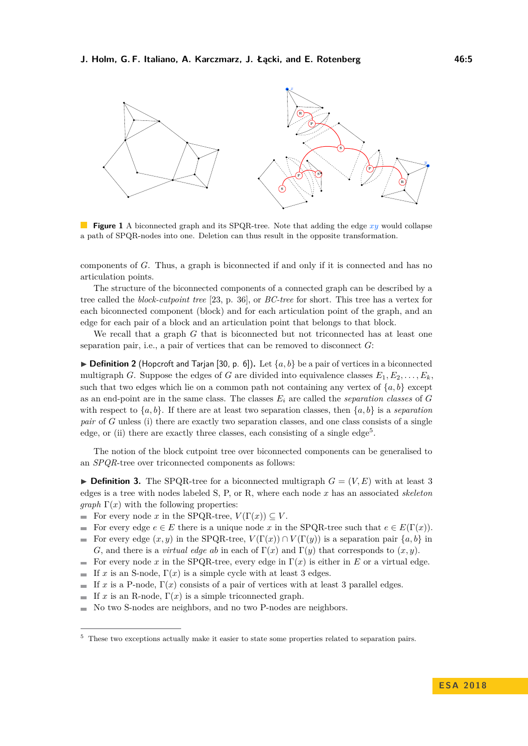

**Figure 1** A biconnected graph and its SPQR-tree. Note that adding the edge *xy* would collapse a path of SPQR-nodes into one. Deletion can thus result in the opposite transformation.

components of *G*. Thus, a graph is biconnected if and only if it is connected and has no articulation points.

The structure of the biconnected components of a connected graph can be described by a tree called the *block-cutpoint tree* [\[23,](#page-13-13) p. 36], or *BC-tree* for short. This tree has a vertex for each biconnected component (block) and for each articulation point of the graph, and an edge for each pair of a block and an articulation point that belongs to that block.

We recall that a graph *G* that is biconnected but not triconnected has at least one separation pair, i.e., a pair of vertices that can be removed to disconnect *G*:

<span id="page-4-1"></span> $\triangleright$  **Definition 2** (Hopcroft and Tarjan [\[30,](#page-13-14) p. 6]). Let  $\{a, b\}$  be a pair of vertices in a biconnected multigraph *G*. Suppose the edges of *G* are divided into equivalence classes  $E_1, E_2, \ldots, E_k$ , such that two edges which lie on a common path not containing any vertex of  $\{a, b\}$  except as an end-point are in the same class. The classes *E<sup>i</sup>* are called the *separation classes* of *G* with respect to  ${a, b}$ . If there are at least two separation classes, then  ${a, b}$  is a *separation pair* of *G* unless (i) there are exactly two separation classes, and one class consists of a single edge, or (ii) there are exactly three classes, each consisting of a single edge<sup>[5](#page-4-0)</sup>.

The notion of the block cutpoint tree over biconnected components can be generalised to an *SPQR*-tree over triconnected components as follows:

<span id="page-4-2"></span> $\triangleright$  **Definition 3.** The SPQR-tree for a biconnected multigraph  $G = (V, E)$  with at least 3 edges is a tree with nodes labeled S, P, or R, where each node *x* has an associated *skeleton graph*  $\Gamma(x)$  with the following properties:

- For every node *x* in the SPQR-tree,  $V(\Gamma(x)) \subseteq V$ .
- For every edge  $e \in E$  there is a unique node x in the SPQR-tree such that  $e \in E(\Gamma(x))$ .
- For every edge  $(x, y)$  in the SPQR-tree,  $V(\Gamma(x)) \cap V(\Gamma(y))$  is a separation pair  $\{a, b\}$  in  $\blacksquare$ *G*, and there is a *virtual edge ab* in each of  $\Gamma(x)$  and  $\Gamma(y)$  that corresponds to  $(x, y)$ .
- For every node *x* in the SPQR-tree, every edge in  $\Gamma(x)$  is either in *E* or a virtual edge.
- If *x* is an S-node,  $\Gamma(x)$  is a simple cycle with at least 3 edges.
- If *x* is a P-node,  $\Gamma(x)$  consists of a pair of vertices with at least 3 parallel edges.  $\mathbf{r}$
- If *x* is an R-node,  $\Gamma(x)$  is a simple triconnected graph.  $\mathbf{r}$
- No two S-nodes are neighbors, and no two P-nodes are neighbors.  $\overline{a}$

<span id="page-4-0"></span><sup>5</sup> These two exceptions actually make it easier to state some properties related to separation pairs.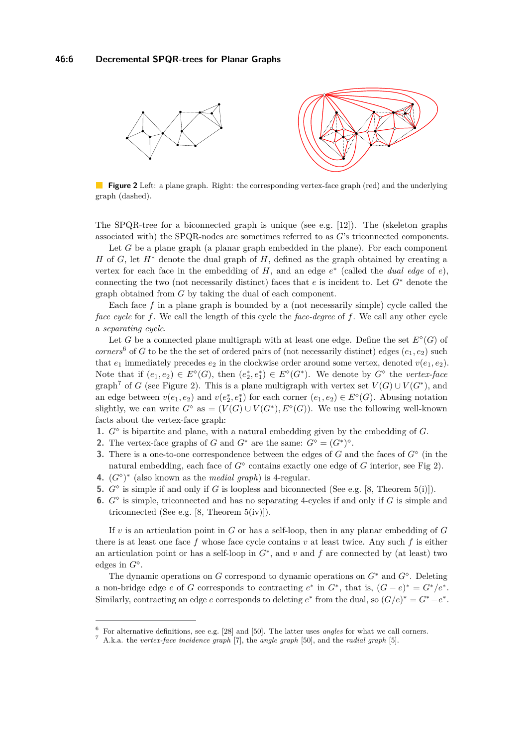<span id="page-5-2"></span>

**Figure 2** Left: a plane graph. Right: the corresponding vertex-face graph (red) and the underlying graph (dashed).

The SPQR-tree for a biconnected graph is unique (see e.g.  $[12]$ ). The (skeleton graphs associated with) the SPQR-nodes are sometimes referred to as *G*'s triconnected components.

Let *G* be a plane graph (a planar graph embedded in the plane). For each component *H* of *G*, let *H*<sup>∗</sup> denote the dual graph of *H*, defined as the graph obtained by creating a vertex for each face in the embedding of  $H$ , and an edge  $e^*$  (called the *dual edge* of  $e$ ), connecting the two (not necessarily distinct) faces that *e* is incident to. Let *G*<sup>∗</sup> denote the graph obtained from *G* by taking the dual of each component.

Each face *f* in a plane graph is bounded by a (not necessarily simple) cycle called the *face cycle* for *f*. We call the length of this cycle the *face-degree* of *f*. We call any other cycle a *separating cycle*.

Let *G* be a connected plane multigraph with at least one edge. Define the set  $E^{\diamond}(G)$  of *corners*<sup>[6](#page-5-0)</sup> of *G* to be the the set of ordered pairs of (not necessarily distinct) edges  $(e_1, e_2)$  such that  $e_1$  immediately precedes  $e_2$  in the clockwise order around some vertex, denoted  $v(e_1, e_2)$ . Note that if  $(e_1, e_2) \in E^{\diamond}(G)$ , then  $(e_2^*, e_1^*) \in E^{\diamond}(G^*)$ . We denote by  $G^{\diamond}$  the *vertex-face* graph<sup>[7](#page-5-1)</sup> of *G* (see Figure [2\)](#page-5-2). This is a plane multigraph with vertex set  $V(G) \cup V(G^*)$ , and an edge between  $v(e_1, e_2)$  and  $v(e_2^*, e_1^*)$  for each corner  $(e_1, e_2) \in E^{\diamond}(G)$ . Abusing notation slightly, we can write  $G^{\diamond}$  as  $= (V(G) \cup V(G^*), E^{\diamond}(G))$ . We use the following well-known facts about the vertex-face graph:

- **1.** *G* is bipartite and plane, with a natural embedding given by the embedding of *G*.
- **2.** The vertex-face graphs of *G* and  $G^*$  are the same:  $G^{\diamond} = (G^*)^{\diamond}$ .
- **3.** There is a one-to-one correspondence between the edges of  $G$  and the faces of  $G^{\diamond}$  (in the natural embedding, each face of  $G^{\diamond}$  contains exactly one edge of  $G$  interior, see Fig [2\)](#page-5-2).
- **4.**  $(G^{\diamond})^*$  (also known as the *medial graph*) is 4-regular.
- **5.**  $G^{\diamond}$  is simple if and only if *G* is loopless and biconnected (See e.g. [\[8,](#page-12-13) Theorem 5(i)]).
- **6.**  $G^{\diamond}$  is simple, triconnected and has no separating 4-cycles if and only if  $G$  is simple and triconnected (See e.g. [\[8,](#page-12-13) Theorem 5(iv)]).

If *v* is an articulation point in *G* or has a self-loop, then in any planar embedding of *G* there is at least one face *f* whose face cycle contains *v* at least twice. Any such *f* is either an articulation point or has a self-loop in *G*<sup>∗</sup> , and *v* and *f* are connected by (at least) two edges in *G* .

The dynamic operations on *G* correspond to dynamic operations on *G*<sup>∗</sup> and *G* . Deleting a non-bridge edge *e* of *G* corresponds to contracting  $e^*$  in  $G^*$ , that is,  $(G - e)^* = G^*/e^*$ . Similarly, contracting an edge *e* corresponds to deleting  $e^*$  from the dual, so  $(G/e)^* = G^* - e^*$ .

<span id="page-5-0"></span><sup>6</sup> For alternative definitions, see e.g. [\[28\]](#page-13-15) and [\[50\]](#page-15-8). The latter uses *angles* for what we call corners.

<span id="page-5-1"></span><sup>7</sup> A.k.a. the *vertex-face incidence graph* [\[7\]](#page-12-14), the *angle graph* [\[50\]](#page-15-8), and the *radial graph* [\[5\]](#page-12-15).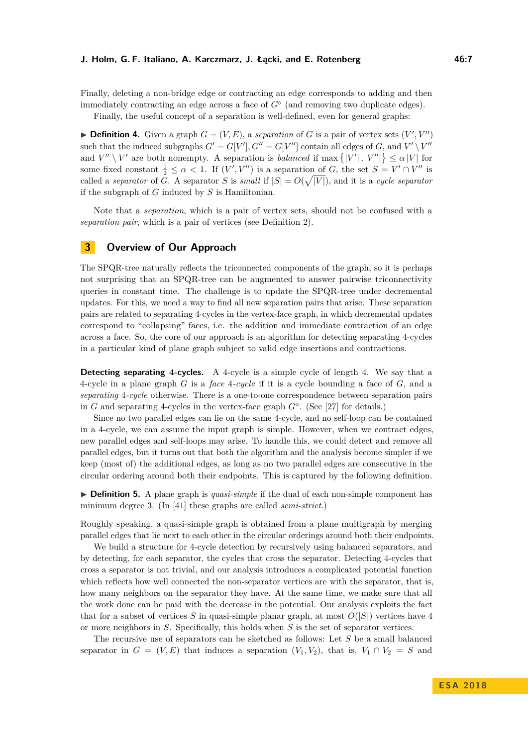#### **J. Holm, G. F. Italiano, A. Karczmarz, J. Łącki, and E. Rotenberg 46:7**

Finally, deleting a non-bridge edge or contracting an edge corresponds to adding and then immediately contracting an edge across a face of  $G^{\diamond}$  (and removing two duplicate edges).

Finally, the useful concept of a separation is well-defined, even for general graphs:

**Definition 4.** Given a graph  $G = (V, E)$ , a *separation* of G is a pair of vertex sets  $(V', V'')$ such that the induced subgraphs  $G' = G[V'], G'' = G[V'']$  contain all edges of *G*, and  $V' \setminus V''$ and  $V'' \setminus V'$  are both nonempty. A separation is *balanced* if max  $\{|V'|, |V''|\} \leq \alpha |V|$  for some fixed constant  $\frac{1}{2} \leq \alpha < 1$ . If  $(V', V'')$  is a separation of *G*, the set  $S = V' \cap V''$  is called a *separator* of *G*. A separator *S* is *small* if  $|S| = O(\sqrt{|V|})$ , and it is a *cycle separator* if the subgraph of *G* induced by *S* is Hamiltonian.

Note that a *separation*, which is a pair of vertex sets, should not be confused with a *separation pair*, which is a pair of vertices (see Definition [2\)](#page-4-1).

## <span id="page-6-0"></span>**3 Overview of Our Approach**

The SPQR-tree naturally reflects the triconnected components of the graph, so it is perhaps not surprising that an SPQR-tree can be augmented to answer pairwise triconnectivity queries in constant time. The challenge is to update the SPQR-tree under decremental updates. For this, we need a way to find all new separation pairs that arise. These separation pairs are related to separating 4-cycles in the vertex-face graph, in which decremental updates correspond to "collapsing" faces, i.e. the addition and immediate contraction of an edge across a face. So, the core of our approach is an algorithm for detecting separating 4-cycles in a particular kind of plane graph subject to valid edge insertions and contractions.

**Detecting separating 4-cycles.** A 4-cycle is a simple cycle of length 4. We say that a 4-cycle in a plane graph *G* is a *face* 4*-cycle* if it is a cycle bounding a face of *G*, and a *separating* 4*-cycle* otherwise. There is a one-to-one correspondence between separation pairs in *G* and separating 4-cycles in the vertex-face graph *G* . (See [\[27\]](#page-13-0) for details.)

Since no two parallel edges can lie on the same 4-cycle, and no self-loop can be contained in a 4-cycle, we can assume the input graph is simple. However, when we contract edges, new parallel edges and self-loops may arise. To handle this, we could detect and remove all parallel edges, but it turns out that both the algorithm and the analysis become simpler if we keep (most of) the additional edges, as long as no two parallel edges are consecutive in the circular ordering around both their endpoints. This is captured by the following definition.

► **Definition 5.** A plane graph is *quasi-simple* if the dual of each non-simple component has minimum degree 3. (In [\[41\]](#page-14-13) these graphs are called *semi-strict*.)

Roughly speaking, a quasi-simple graph is obtained from a plane multigraph by merging parallel edges that lie next to each other in the circular orderings around both their endpoints.

We build a structure for 4-cycle detection by recursively using balanced separators, and by detecting, for each separator, the cycles that cross the separator. Detecting 4-cycles that cross a separator is not trivial, and our analysis introduces a complicated potential function which reflects how well connected the non-separator vertices are with the separator, that is, how many neighbors on the separator they have. At the same time, we make sure that all the work done can be paid with the decrease in the potential. Our analysis exploits the fact that for a subset of vertices *S* in quasi-simple planar graph, at most  $O(|S|)$  vertices have 4 or more neighbors in *S*. Specifically, this holds when *S* is the set of separator vertices.

The recursive use of separators can be sketched as follows: Let *S* be a small balanced separator in  $G = (V, E)$  that induces a separation  $(V_1, V_2)$ , that is,  $V_1 \cap V_2 = S$  and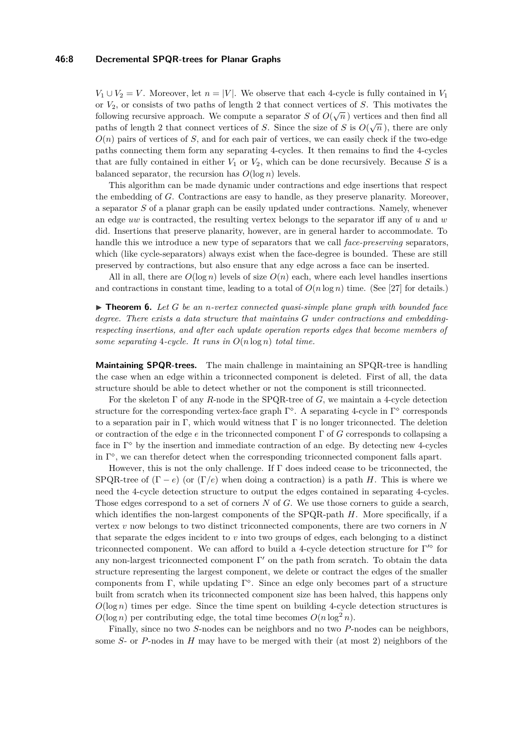#### **46:8 Decremental SPQR-trees for Planar Graphs**

 $V_1 \cup V_2 = V$ . Moreover, let  $n = |V|$ . We observe that each 4-cycle is fully contained in  $V_1$ or *V*2, or consists of two paths of length 2 that connect vertices of *S*. This motivates the following recursive approach. We compute a separator *S* of  $O(\sqrt{n})$  vertices and then find all paths of length 2 that connect vertices of *S*. Since the size of *S* is  $O(\sqrt{n})$ , there are only  $O(n)$  pairs of vertices of *S*, and for each pair of vertices, we can easily check if the two-edge paths connecting them form any separating 4-cycles. It then remains to find the 4-cycles that are fully contained in either  $V_1$  or  $V_2$ , which can be done recursively. Because  $S$  is a balanced separator, the recursion has  $O(\log n)$  levels.

This algorithm can be made dynamic under contractions and edge insertions that respect the embedding of *G*. Contractions are easy to handle, as they preserve planarity. Moreover, a separator *S* of a planar graph can be easily updated under contractions. Namely, whenever an edge *uw* is contracted, the resulting vertex belongs to the separator iff any of *u* and *w* did. Insertions that preserve planarity, however, are in general harder to accommodate. To handle this we introduce a new type of separators that we call *face-preserving* separators, which (like cycle-separators) always exist when the face-degree is bounded. These are still preserved by contractions, but also ensure that any edge across a face can be inserted.

All in all, there are  $O(\log n)$  levels of size  $O(n)$  each, where each level handles insertions and contractions in constant time, leading to a total of  $O(n \log n)$  time. (See [\[27\]](#page-13-0) for details.)

<span id="page-7-0"></span> $\triangleright$  **Theorem 6.** Let *G* be an *n*-vertex connected quasi-simple plane graph with bounded face *degree. There exists a data structure that maintains G under contractions and embeddingrespecting insertions, and after each update operation reports edges that become members of some separating* 4*-cycle. It runs in O*(*n* log *n*) *total time.*

**Maintaining SPQR-trees.** The main challenge in maintaining an SPQR-tree is handling the case when an edge within a triconnected component is deleted. First of all, the data structure should be able to detect whether or not the component is still triconnected.

For the skeleton Γ of any *R*-node in the SPQR-tree of *G*, we maintain a 4-cycle detection structure for the corresponding vertex-face graph  $\Gamma^{\diamond}$ . A separating 4-cycle in  $\Gamma^{\diamond}$  corresponds to a separation pair in Γ, which would witness that Γ is no longer triconnected. The deletion or contraction of the edge *e* in the triconnected component Γ of *G* corresponds to collapsing a face in  $\Gamma^{\diamond}$  by the insertion and immediate contraction of an edge. By detecting new 4-cycles in  $\Gamma^{\diamond}$ , we can therefor detect when the corresponding triconnected component falls apart.

However, this is not the only challenge. If  $\Gamma$  does indeed cease to be triconnected, the SPQR-tree of  $(\Gamma - e)$  (or  $(\Gamma / e)$ ) when doing a contraction) is a path *H*. This is where we need the 4-cycle detection structure to output the edges contained in separating 4-cycles. Those edges correspond to a set of corners *N* of *G*. We use those corners to guide a search, which identifies the non-largest components of the SPQR-path *H*. More specifically, if a vertex *v* now belongs to two distinct triconnected components, there are two corners in *N* that separate the edges incident to *v* into two groups of edges, each belonging to a distinct triconnected component. We can afford to build a 4-cycle detection structure for  $\Gamma^{\prime\circ}$  for any non-largest triconnected component  $\Gamma'$  on the path from scratch. To obtain the data structure representing the largest component, we delete or contract the edges of the smaller components from Γ, while updating Γ . Since an edge only becomes part of a structure built from scratch when its triconnected component size has been halved, this happens only  $O(\log n)$  times per edge. Since the time spent on building 4-cycle detection structures is  $O(\log n)$  per contributing edge, the total time becomes  $O(n \log^2 n)$ .

Finally, since no two *S*-nodes can be neighbors and no two *P*-nodes can be neighbors, some *S*- or *P*-nodes in *H* may have to be merged with their (at most 2) neighbors of the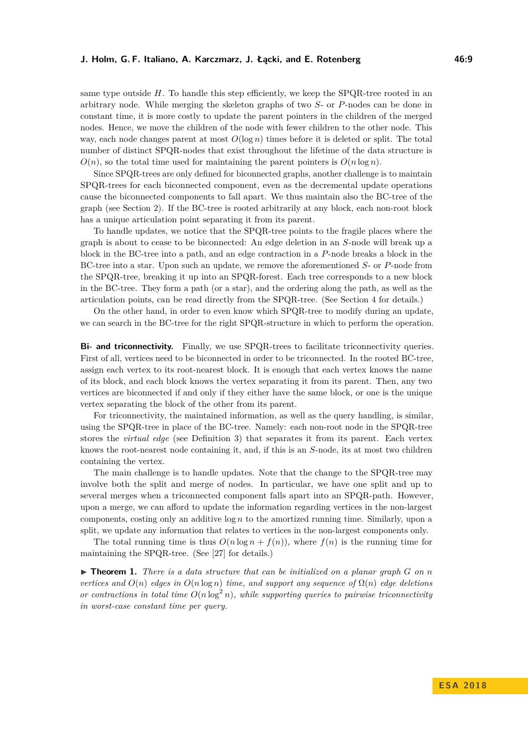same type outside *H*. To handle this step efficiently, we keep the SPQR-tree rooted in an arbitrary node. While merging the skeleton graphs of two *S*- or *P*-nodes can be done in constant time, it is more costly to update the parent pointers in the children of the merged nodes. Hence, we move the children of the node with fewer children to the other node. This way, each node changes parent at most  $O(\log n)$  times before it is deleted or split. The total number of distinct SPQR-nodes that exist throughout the lifetime of the data structure is  $O(n)$ , so the total time used for maintaining the parent pointers is  $O(n \log n)$ .

Since SPQR-trees are only defined for biconnected graphs, another challenge is to maintain SPQR-trees for each biconnected component, even as the decremental update operations cause the biconnected components to fall apart. We thus maintain also the BC-tree of the graph (see Section [2\)](#page-3-0). If the BC-tree is rooted arbitrarily at any block, each non-root block has a unique articulation point separating it from its parent.

To handle updates, we notice that the SPQR-tree points to the fragile places where the graph is about to cease to be biconnected: An edge deletion in an *S*-node will break up a block in the BC-tree into a path, and an edge contraction in a *P*-node breaks a block in the BC-tree into a star. Upon such an update, we remove the aforementioned *S*- or *P*-node from the SPQR-tree, breaking it up into an SPQR-forest. Each tree corresponds to a new block in the BC-tree. They form a path (or a star), and the ordering along the path, as well as the articulation points, can be read directly from the SPQR-tree. (See Section [4](#page-9-0) for details.)

On the other hand, in order to even know which SPQR-tree to modify during an update, we can search in the BC-tree for the right SPQR-structure in which to perform the operation.

**Bi- and triconnectivity.** Finally, we use SPQR-trees to facilitate triconnectivity queries. First of all, vertices need to be biconnected in order to be triconnected. In the rooted BC-tree, assign each vertex to its root-nearest block. It is enough that each vertex knows the name of its block, and each block knows the vertex separating it from its parent. Then, any two vertices are biconnected if and only if they either have the same block, or one is the unique vertex separating the block of the other from its parent.

For triconnectivity, the maintained information, as well as the query handling, is similar, using the SPQR-tree in place of the BC-tree. Namely: each non-root node in the SPQR-tree stores the *virtual edge* (see Definition [3\)](#page-4-2) that separates it from its parent. Each vertex knows the root-nearest node containing it, and, if this is an *S*-node, its at most two children containing the vertex.

The main challenge is to handle updates. Note that the change to the SPQR-tree may involve both the split and merge of nodes. In particular, we have one split and up to several merges when a triconnected component falls apart into an SPQR-path. However, upon a merge, we can afford to update the information regarding vertices in the non-largest components, costing only an additive log *n* to the amortized running time. Similarly, upon a split, we update any information that relates to vertices in the non-largest components only.

The total running time is thus  $O(n \log n + f(n))$ , where  $f(n)$  is the running time for maintaining the SPQR-tree. (See [\[27\]](#page-13-0) for details.)

 $\triangleright$  **Theorem 1.** There is a data structure that can be initialized on a planar graph G on n *vertices and*  $O(n)$  *edges in*  $O(n \log n)$  *time, and support any sequence of*  $\Omega(n)$  *edge deletions or contractions in total time*  $O(n \log^2 n)$ , while supporting queries to pairwise triconnectivity *in worst-case constant time per query.*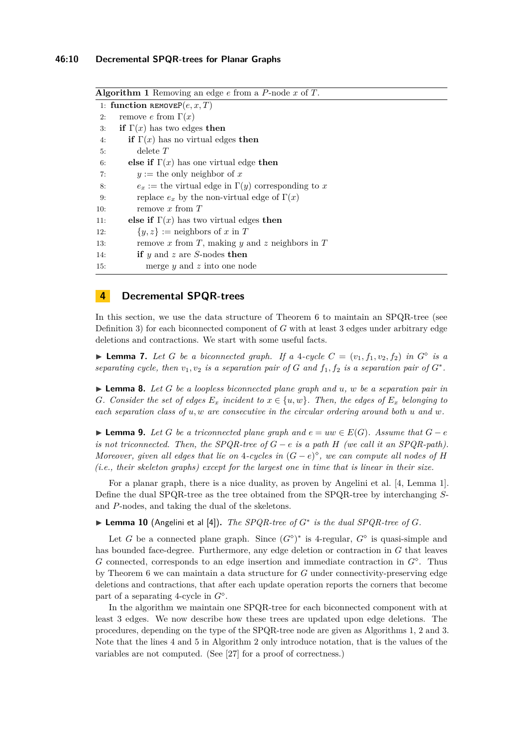<span id="page-9-1"></span>**Algorithm 1** Removing an edge *e* from a *P*-node *x* of *T*. 1: **function**  $\texttt{REMOVEP}(e, x, T)$ 2: remove *e* from  $\Gamma(x)$ 3: **if**  $\Gamma(x)$  has two edges **then** 4: **if**  $\Gamma(x)$  has no virtual edges **then** 5: delete *T* 6: **else if**  $\Gamma(x)$  has one virtual edge **then** 7:  $y :=$  the only neighbor of x 8:  $e_x :=$  the virtual edge in  $\Gamma(y)$  corresponding to x 9: replace  $e_x$  by the non-virtual edge of  $\Gamma(x)$ 10: remove *x* from *T* 11: **else if**  $\Gamma(x)$  has two virtual edges **then** 12:  $\{y, z\} :=$  neighbors of *x* in *T* 13: remove *x* from *T*, making *y* and *z* neighbors in *T* 14: **if** *y* and *z* are *S*-nodes **then** 15: merge *y* and *z* into one node

# <span id="page-9-0"></span>**4 Decremental SPQR-trees**

In this section, we use the data structure of Theorem [6](#page-7-0) to maintain an SPQR-tree (see Definition [3\)](#page-4-2) for each biconnected component of *G* with at least 3 edges under arbitrary edge deletions and contractions. We start with some useful facts.

<span id="page-9-2"></span>**Example 7.** Let G be a biconnected graph. If a 4-cycle  $C = (v_1, f_1, v_2, f_2)$  in  $G^{\circ}$  is a *separating cycle, then*  $v_1, v_2$  *is a separation pair of G and*  $f_1, f_2$  *is a separation pair of*  $G^*$ .

<span id="page-9-3"></span>I **Lemma 8.** *Let G be a loopless biconnected plane graph and u, w be a separation pair in G.* Consider the set of edges  $E_x$  *incident to*  $x \in \{u, w\}$ *. Then, the edges of*  $E_x$  *belonging to each separation class of u, w are consecutive in the circular ordering around both u and w.*

<span id="page-9-4"></span>**► Lemma 9.** Let *G* be a triconnected plane graph and  $e = uw \in E(G)$ . Assume that  $G - e$ *is not triconnected. Then, the SPQR-tree of*  $G - e$  *is a path*  $H$  *(we call it an SPQR-path). Moreover, given all edges that lie on* 4*-cycles in*  $(G - e)^{\diamond}$ *, we can compute all nodes of H (i.e., their skeleton graphs) except for the largest one in time that is linear in their size.*

For a planar graph, there is a nice duality, as proven by Angelini et al. [\[4,](#page-12-16) Lemma 1]. Define the dual SPQR-tree as the tree obtained from the SPQR-tree by interchanging *S*and *P*-nodes, and taking the dual of the skeletons.

<span id="page-9-5"></span>I **Lemma 10** (Angelini et al [\[4\]](#page-12-16))**.** *The SPQR-tree of G*<sup>∗</sup> *is the dual SPQR-tree of G.*

Let *G* be a connected plane graph. Since  $(G^{\diamond})^*$  is 4-regular,  $G^{\diamond}$  is quasi-simple and has bounded face-degree. Furthermore, any edge deletion or contraction in *G* that leaves *G* connected, corresponds to an edge insertion and immediate contraction in *G* . Thus by Theorem [6](#page-7-0) we can maintain a data structure for *G* under connectivity-preserving edge deletions and contractions, that after each update operation reports the corners that become part of a separating 4-cycle in *G* .

In the algorithm we maintain one SPQR-tree for each biconnected component with at least 3 edges. We now describe how these trees are updated upon edge deletions. The procedures, depending on the type of the SPQR-tree node are given as Algorithms [1,](#page-9-1) [2](#page-10-0) and [3.](#page-10-1) Note that the lines [4](#page-9-1) and [5](#page-9-1) in Algorithm [2](#page-10-0) only introduce notation, that is the values of the variables are not computed. (See [\[27\]](#page-13-0) for a proof of correctness.)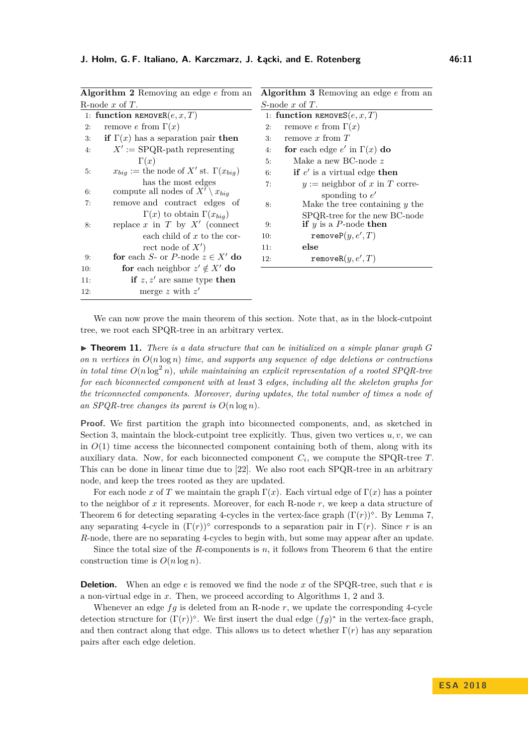<span id="page-10-0"></span>

| <b>Algorithm 3</b> Removing an edge $e$ from an                                                                                                                                                                                                                                                                                                                                                                                                                                                                                                                                                                                    |                                      |
|------------------------------------------------------------------------------------------------------------------------------------------------------------------------------------------------------------------------------------------------------------------------------------------------------------------------------------------------------------------------------------------------------------------------------------------------------------------------------------------------------------------------------------------------------------------------------------------------------------------------------------|--------------------------------------|
| S-node x of $T$ .                                                                                                                                                                                                                                                                                                                                                                                                                                                                                                                                                                                                                  |                                      |
| 1: function REMOVES $(e, x, T)$                                                                                                                                                                                                                                                                                                                                                                                                                                                                                                                                                                                                    |                                      |
| 2:                                                                                                                                                                                                                                                                                                                                                                                                                                                                                                                                                                                                                                 | remove e from $\Gamma(x)$            |
| 3:                                                                                                                                                                                                                                                                                                                                                                                                                                                                                                                                                                                                                                 | remove x from $T$                    |
| 4:                                                                                                                                                                                                                                                                                                                                                                                                                                                                                                                                                                                                                                 | for each edge $e'$ in $\Gamma(x)$ do |
| 5:                                                                                                                                                                                                                                                                                                                                                                                                                                                                                                                                                                                                                                 | Make a new BC-node $z$               |
| 6:                                                                                                                                                                                                                                                                                                                                                                                                                                                                                                                                                                                                                                 | if $e'$ is a virtual edge then       |
| 7:                                                                                                                                                                                                                                                                                                                                                                                                                                                                                                                                                                                                                                 | $y :=$ neighbor of x in T corre-     |
|                                                                                                                                                                                                                                                                                                                                                                                                                                                                                                                                                                                                                                    | sponding to $e'$                     |
| 8:                                                                                                                                                                                                                                                                                                                                                                                                                                                                                                                                                                                                                                 | Make the tree containing $y$ the     |
|                                                                                                                                                                                                                                                                                                                                                                                                                                                                                                                                                                                                                                    | SPQR-tree for the new BC-node        |
| 9:                                                                                                                                                                                                                                                                                                                                                                                                                                                                                                                                                                                                                                 | if $y$ is a P-node then              |
| 10:                                                                                                                                                                                                                                                                                                                                                                                                                                                                                                                                                                                                                                | remove $P(y, e', T)$                 |
| 11:                                                                                                                                                                                                                                                                                                                                                                                                                                                                                                                                                                                                                                | else                                 |
| 12:                                                                                                                                                                                                                                                                                                                                                                                                                                                                                                                                                                                                                                | removeR $(y, e', T)$                 |
|                                                                                                                                                                                                                                                                                                                                                                                                                                                                                                                                                                                                                                    |                                      |
|                                                                                                                                                                                                                                                                                                                                                                                                                                                                                                                                                                                                                                    |                                      |
|                                                                                                                                                                                                                                                                                                                                                                                                                                                                                                                                                                                                                                    |                                      |
| Algorithm 2 Removing an edge $e$ from an<br>1: function REMOVER $(e, x, T)$<br>remove e from $\Gamma(x)$<br>if $\Gamma(x)$ has a separation pair then<br>$X' := \text{SPQR-path representing}$<br>$x_{biq} :=$ the node of X' st. $\Gamma(x_{biq})$<br>has the most edges<br>compute all nodes of $X' \setminus x_{biq}$<br>remove and contract edges of<br>$\Gamma(x)$ to obtain $\Gamma(x_{bia})$<br>replace x in T by $X'$ (connect<br>each child of $x$ to the cor-<br>rect node of $X'$ )<br>for each S- or P-node $z \in X'$ do<br>for each neighbor $z' \notin X'$ do<br>if $z, z'$ are same type then<br>merge z with $z'$ |                                      |

<span id="page-10-1"></span>

We can now prove the main theorem of this section. Note that, as in the block-cutpoint tree, we root each SPQR-tree in an arbitrary vertex.

 $\blacktriangleright$  **Theorem 11.** *There is a data structure that can be initialized on a simple planar graph*  $G$ *on n vertices in O*(*n* log *n*) *time, and supports any sequence of edge deletions or contractions in total time*  $O(n \log^2 n)$ *, while maintaining an explicit representation of a rooted SPQR-tree for each biconnected component with at least* 3 *edges, including all the skeleton graphs for the triconnected components. Moreover, during updates, the total number of times a node of* an *SPQR-tree changes its parent is*  $O(n \log n)$ *.* 

**Proof.** We first partition the graph into biconnected components, and, as sketched in Section [3,](#page-6-0) maintain the block-cutpoint tree explicitly. Thus, given two vertices  $u, v$ , we can in  $O(1)$  time access the biconnected component containing both of them, along with its auxiliary data. Now, for each biconnected component *C<sup>i</sup>* , we compute the SPQR-tree *T*. This can be done in linear time due to [\[22\]](#page-13-16). We also root each SPQR-tree in an arbitrary node, and keep the trees rooted as they are updated.

For each node x of T we maintain the graph  $\Gamma(x)$ . Each virtual edge of  $\Gamma(x)$  has a pointer to the neighbor of *x* it represents. Moreover, for each R-node *r*, we keep a data structure of Theorem [6](#page-7-0) for detecting separating 4-cycles in the vertex-face graph  $(\Gamma(r))^{\diamond}$ . By Lemma [7,](#page-9-2) any separating 4-cycle in  $(\Gamma(r))^{\diamond}$  corresponds to a separation pair in  $\Gamma(r)$ . Since *r* is an *R*-node, there are no separating 4-cycles to begin with, but some may appear after an update.

Since the total size of the *R*-components is  $n$ , it follows from Theorem [6](#page-7-0) that the entire construction time is  $O(n \log n)$ .

**Deletion.** When an edge *e* is removed we find the node *x* of the SPQR-tree, such that *e* is a non-virtual edge in *x*. Then, we proceed according to Algorithms [1,](#page-9-1) [2](#page-10-0) and [3.](#page-10-1)

Whenever an edge  $fg$  is deleted from an R-node  $r$ , we update the corresponding 4-cycle detection structure for  $(\Gamma(r))^{\diamond}$ . We first insert the dual edge  $(fg)^*$  in the vertex-face graph, and then contract along that edge. This allows us to detect whether  $\Gamma(r)$  has any separation pairs after each edge deletion.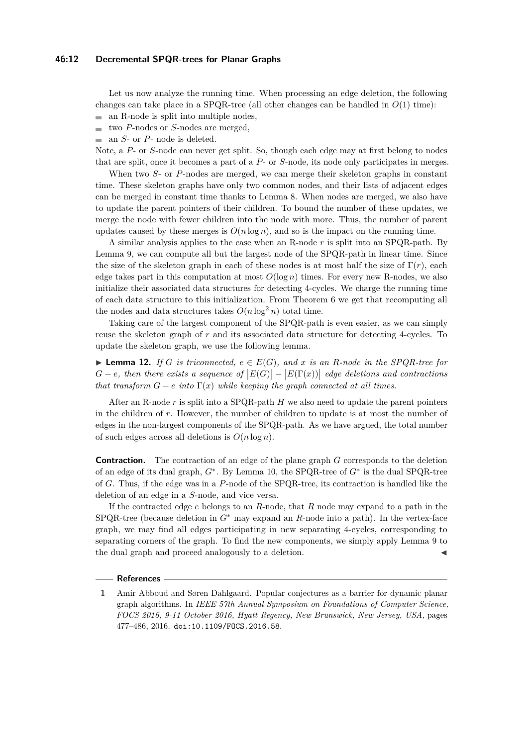#### **46:12 Decremental SPQR-trees for Planar Graphs**

Let us now analyze the running time. When processing an edge deletion, the following changes can take place in a SPQR-tree (all other changes can be handled in  $O(1)$  time):  $\blacksquare$  an R-node is split into multiple nodes,

- two *P*-nodes or *S*-nodes are merged,
- $\blacksquare$  an *S* or *P* node is deleted.

Note, a *P*- or *S*-node can never get split. So, though each edge may at first belong to nodes that are split, once it becomes a part of a *P*- or *S*-node, its node only participates in merges.

When two *S*- or *P*-nodes are merged, we can merge their skeleton graphs in constant time. These skeleton graphs have only two common nodes, and their lists of adjacent edges can be merged in constant time thanks to Lemma [8.](#page-9-3) When nodes are merged, we also have to update the parent pointers of their children. To bound the number of these updates, we merge the node with fewer children into the node with more. Thus, the number of parent updates caused by these merges is  $O(n \log n)$ , and so is the impact on the running time.

A similar analysis applies to the case when an R-node *r* is split into an SPQR-path. By Lemma [9,](#page-9-4) we can compute all but the largest node of the SPQR-path in linear time. Since the size of the skeleton graph in each of these nodes is at most half the size of  $\Gamma(r)$ , each edge takes part in this computation at most  $O(\log n)$  times. For every new R-nodes, we also initialize their associated data structures for detecting 4-cycles. We charge the running time of each data structure to this initialization. From Theorem [6](#page-7-0) we get that recomputing all the nodes and data structures takes  $O(n \log^2 n)$  total time.

Taking care of the largest component of the SPQR-path is even easier, as we can simply reuse the skeleton graph of *r* and its associated data structure for detecting 4-cycles. To update the skeleton graph, we use the following lemma.

▶ **Lemma 12.** *If G is triconnected,*  $e \in E(G)$ *, and x is an R*-node *in the SPQR-tree for*  $G - e$ , then there exists a sequence of  $|E(G)| - |E(\Gamma(x))|$  edge deletions and contractions *that transform*  $G - e$  *into*  $\Gamma(x)$  *while keeping the graph connected at all times.* 

After an R-node *r* is split into a SPQR-path *H* we also need to update the parent pointers in the children of *r*. However, the number of children to update is at most the number of edges in the non-largest components of the SPQR-path. As we have argued, the total number of such edges across all deletions is  $O(n \log n)$ .

**Contraction.** The contraction of an edge of the plane graph *G* corresponds to the deletion of an edge of its dual graph, *G*<sup>∗</sup> . By Lemma [10,](#page-9-5) the SPQR-tree of *G*<sup>∗</sup> is the dual SPQR-tree of *G*. Thus, if the edge was in a *P*-node of the SPQR-tree, its contraction is handled like the deletion of an edge in a *S*-node, and vice versa.

If the contracted edge *e* belongs to an *R*-node, that *R* node may expand to a path in the SPQR-tree (because deletion in *G*<sup>∗</sup> may expand an *R*-node into a path). In the vertex-face graph, we may find all edges participating in new separating 4-cycles, corresponding to separating corners of the graph. To find the new components, we simply apply Lemma [9](#page-9-4) to the dual graph and proceed analogously to a deletion.

#### **References**

<span id="page-11-0"></span>**<sup>1</sup>** Amir Abboud and Søren Dahlgaard. Popular conjectures as a barrier for dynamic planar graph algorithms. In *IEEE 57th Annual Symposium on Foundations of Computer Science, FOCS 2016, 9-11 October 2016, Hyatt Regency, New Brunswick, New Jersey, USA*, pages 477–486, 2016. [doi:10.1109/FOCS.2016.58](http://dx.doi.org/10.1109/FOCS.2016.58).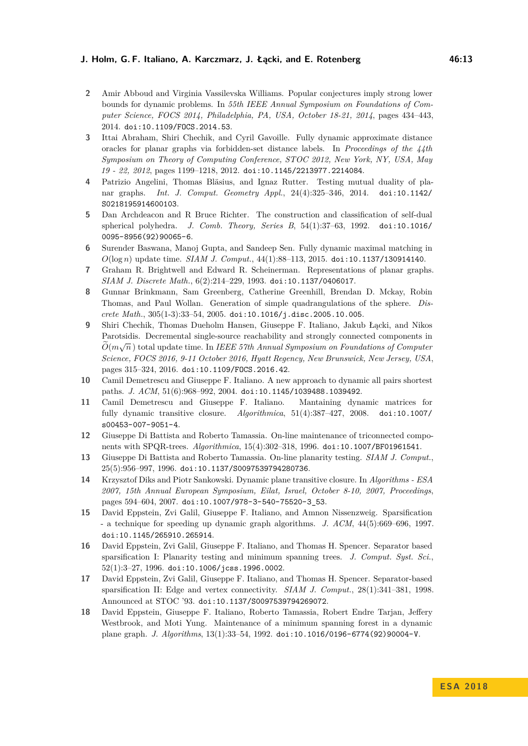#### **J. Holm, G. F. Italiano, A. Karczmarz, J. Łącki, and E. Rotenberg 46:13**

- <span id="page-12-8"></span>**2** Amir Abboud and Virginia Vassilevska Williams. Popular conjectures imply strong lower bounds for dynamic problems. In *55th IEEE Annual Symposium on Foundations of Computer Science, FOCS 2014, Philadelphia, PA, USA, October 18-21, 2014*, pages 434–443, 2014. [doi:10.1109/FOCS.2014.53](http://dx.doi.org/10.1109/FOCS.2014.53).
- <span id="page-12-4"></span>**3** Ittai Abraham, Shiri Chechik, and Cyril Gavoille. Fully dynamic approximate distance oracles for planar graphs via forbidden-set distance labels. In *Proceedings of the 44th Symposium on Theory of Computing Conference, STOC 2012, New York, NY, USA, May 19 - 22, 2012*, pages 1199–1218, 2012. [doi:10.1145/2213977.2214084](http://dx.doi.org/10.1145/2213977.2214084).
- <span id="page-12-16"></span>**4** Patrizio Angelini, Thomas Bläsius, and Ignaz Rutter. Testing mutual duality of planar graphs. *Int. J. Comput. Geometry Appl.*, 24(4):325–346, 2014. [doi:10.1142/](http://dx.doi.org/10.1142/S0218195914600103) [S0218195914600103](http://dx.doi.org/10.1142/S0218195914600103).
- <span id="page-12-15"></span>**5** Dan Archdeacon and R Bruce Richter. The construction and classification of self-dual spherical polyhedra. *J. Comb. Theory, Series B*, 54(1):37–63, 1992. [doi:10.1016/](http://dx.doi.org/10.1016/0095-8956(92)90065-6) [0095-8956\(92\)90065-6](http://dx.doi.org/10.1016/0095-8956(92)90065-6).
- <span id="page-12-0"></span>**6** Surender Baswana, Manoj Gupta, and Sandeep Sen. Fully dynamic maximal matching in *O*(log *n*) update time. *SIAM J. Comput.*, 44(1):88–113, 2015. [doi:10.1137/130914140](http://dx.doi.org/10.1137/130914140).
- <span id="page-12-14"></span>**7** Graham R. Brightwell and Edward R. Scheinerman. Representations of planar graphs. *SIAM J. Discrete Math.*, 6(2):214–229, 1993. [doi:10.1137/0406017](http://dx.doi.org/10.1137/0406017).
- <span id="page-12-13"></span>**8** Gunnar Brinkmann, Sam Greenberg, Catherine Greenhill, Brendan D. Mckay, Robin Thomas, and Paul Wollan. Generation of simple quadrangulations of the sphere. *Discrete Math.*, 305(1-3):33–54, 2005. [doi:10.1016/j.disc.2005.10.005](http://dx.doi.org/10.1016/j.disc.2005.10.005).
- <span id="page-12-1"></span>**9** Shiri Chechik, Thomas Dueholm Hansen, Giuseppe F. Italiano, Jakub Łącki, and Nikos Parotsidis. Decremental single-source reachability and strongly connected components in  $\widetilde{O}(m\sqrt{n})$  total update time. In *IEEE 57th Annual Symposium on Foundations of Computer Science, FOCS 2016, 9-11 October 2016, Hyatt Regency, New Brunswick, New Jersey, USA*, pages 315–324, 2016. [doi:10.1109/FOCS.2016.42](http://dx.doi.org/10.1109/FOCS.2016.42).
- <span id="page-12-2"></span>**10** Camil Demetrescu and Giuseppe F. Italiano. A new approach to dynamic all pairs shortest paths. *J. ACM*, 51(6):968–992, 2004. [doi:10.1145/1039488.1039492](http://dx.doi.org/10.1145/1039488.1039492).
- <span id="page-12-3"></span>**11** Camil Demetrescu and Giuseppe F. Italiano. Mantaining dynamic matrices for fully dynamic transitive closure. *Algorithmica*, 51(4):387–427, 2008. [doi:10.1007/](http://dx.doi.org/10.1007/s00453-007-9051-4) [s00453-007-9051-4](http://dx.doi.org/10.1007/s00453-007-9051-4).
- <span id="page-12-11"></span>**12** Giuseppe Di Battista and Roberto Tamassia. On-line maintenance of triconnected components with SPQR-trees. *Algorithmica*, 15(4):302–318, 1996. [doi:10.1007/BF01961541](http://dx.doi.org/10.1007/BF01961541).
- <span id="page-12-12"></span>**13** Giuseppe Di Battista and Roberto Tamassia. On-line planarity testing. *SIAM J. Comput.*, 25(5):956–997, 1996. [doi:10.1137/S0097539794280736](http://dx.doi.org/10.1137/S0097539794280736).
- <span id="page-12-5"></span>**14** Krzysztof Diks and Piotr Sankowski. Dynamic plane transitive closure. In *Algorithms - ESA 2007, 15th Annual European Symposium, Eilat, Israel, October 8-10, 2007, Proceedings*, pages 594–604, 2007. [doi:10.1007/978-3-540-75520-3\\_53](http://dx.doi.org/10.1007/978-3-540-75520-3_53).
- <span id="page-12-9"></span>**15** David Eppstein, Zvi Galil, Giuseppe F. Italiano, and Amnon Nissenzweig. Sparsification - a technique for speeding up dynamic graph algorithms. *J. ACM*, 44(5):669–696, 1997. [doi:10.1145/265910.265914](http://dx.doi.org/10.1145/265910.265914).
- <span id="page-12-6"></span>**16** David Eppstein, Zvi Galil, Giuseppe F. Italiano, and Thomas H. Spencer. Separator based sparsification I: Planarity testing and minimum spanning trees. *J. Comput. Syst. Sci.*,  $52(1):3-27, 1996.$  [doi:10.1006/jcss.1996.0002](http://dx.doi.org/10.1006/jcss.1996.0002).
- <span id="page-12-10"></span>**17** David Eppstein, Zvi Galil, Giuseppe F. Italiano, and Thomas H. Spencer. Separator-based sparsification II: Edge and vertex connectivity. *SIAM J. Comput.*, 28(1):341–381, 1998. Announced at STOC '93. [doi:10.1137/S0097539794269072](http://dx.doi.org/10.1137/S0097539794269072).
- <span id="page-12-7"></span>**18** David Eppstein, Giuseppe F. Italiano, Roberto Tamassia, Robert Endre Tarjan, Jeffery Westbrook, and Moti Yung. Maintenance of a minimum spanning forest in a dynamic plane graph. *J. Algorithms*, 13(1):33–54, 1992. [doi:10.1016/0196-6774\(92\)90004-V](http://dx.doi.org/10.1016/0196-6774(92)90004-V).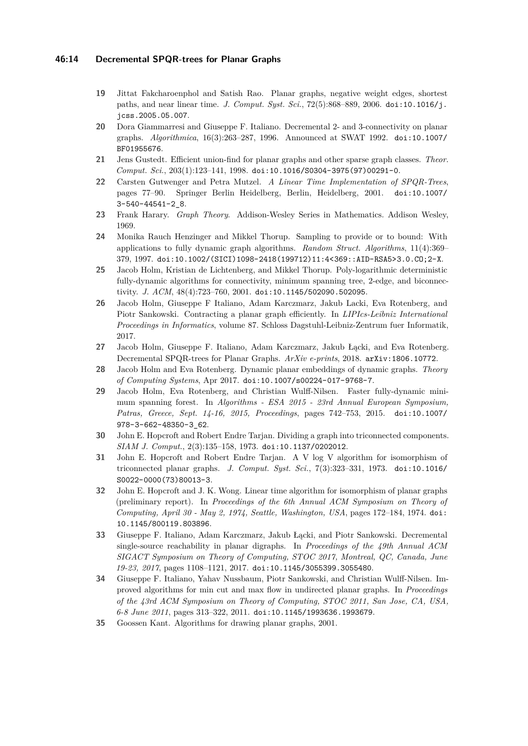#### **46:14 Decremental SPQR-trees for Planar Graphs**

- <span id="page-13-8"></span>**19** Jittat Fakcharoenphol and Satish Rao. Planar graphs, negative weight edges, shortest paths, and near linear time. *J. Comput. Syst. Sci.*, 72(5):868–889, 2006. [doi:10.1016/j.](http://dx.doi.org/10.1016/j.jcss.2005.05.007) [jcss.2005.05.007](http://dx.doi.org/10.1016/j.jcss.2005.05.007).
- <span id="page-13-4"></span>**20** Dora Giammarresi and Giuseppe F. Italiano. Decremental 2- and 3-connectivity on planar graphs. *Algorithmica*, 16(3):263–287, 1996. Announced at SWAT 1992. [doi:10.1007/](http://dx.doi.org/10.1007/BF01955676) [BF01955676](http://dx.doi.org/10.1007/BF01955676).
- <span id="page-13-5"></span>**21** Jens Gustedt. Efficient union-find for planar graphs and other sparse graph classes. *Theor. Comput. Sci.*, 203(1):123–141, 1998. [doi:10.1016/S0304-3975\(97\)00291-0](http://dx.doi.org/10.1016/S0304-3975(97)00291-0).
- <span id="page-13-16"></span>**22** Carsten Gutwenger and Petra Mutzel. *A Linear Time Implementation of SPQR-Trees*, pages 77–90. Springer Berlin Heidelberg, Berlin, Heidelberg, 2001. [doi:10.1007/](http://dx.doi.org/10.1007/3-540-44541-2_8) [3-540-44541-2\\_8](http://dx.doi.org/10.1007/3-540-44541-2_8).
- <span id="page-13-13"></span>**23** Frank Harary. *Graph Theory*. Addison-Wesley Series in Mathematics. Addison Wesley, 1969.
- <span id="page-13-1"></span>**24** Monika Rauch Henzinger and Mikkel Thorup. Sampling to provide or to bound: With applications to fully dynamic graph algorithms. *Random Struct. Algorithms*, 11(4):369– 379, 1997. [doi:10.1002/\(SICI\)1098-2418\(199712\)11:4<369::AID-RSA5>3.0.CO;2-X](http://dx.doi.org/10.1002/(SICI)1098-2418(199712)11:4<369::AID-RSA5>3.0.CO;2-X).
- <span id="page-13-2"></span>**25** Jacob Holm, Kristian de Lichtenberg, and Mikkel Thorup. Poly-logarithmic deterministic fully-dynamic algorithms for connectivity, minimum spanning tree, 2-edge, and biconnectivity. *J. ACM*, 48(4):723–760, 2001. [doi:10.1145/502090.502095](http://dx.doi.org/10.1145/502090.502095).
- <span id="page-13-6"></span>**26** Jacob Holm, Giuseppe F Italiano, Adam Karczmarz, Jakub Lacki, Eva Rotenberg, and Piotr Sankowski. Contracting a planar graph efficiently. In *LIPIcs-Leibniz International Proceedings in Informatics*, volume 87. Schloss Dagstuhl-Leibniz-Zentrum fuer Informatik, 2017.
- <span id="page-13-0"></span>**27** Jacob Holm, Giuseppe F. Italiano, Adam Karczmarz, Jakub Łącki, and Eva Rotenberg. Decremental SPQR-trees for Planar Graphs. *ArXiv e-prints*, 2018. [arXiv:1806.10772](http://arxiv.org/abs/1806.10772).
- <span id="page-13-15"></span>**28** Jacob Holm and Eva Rotenberg. Dynamic planar embeddings of dynamic graphs. *Theory of Computing Systems*, Apr 2017. [doi:10.1007/s00224-017-9768-7](http://dx.doi.org/10.1007/s00224-017-9768-7).
- <span id="page-13-3"></span>**29** Jacob Holm, Eva Rotenberg, and Christian Wulff-Nilsen. Faster fully-dynamic minimum spanning forest. In *Algorithms - ESA 2015 - 23rd Annual European Symposium, Patras, Greece, Sept. 14-16, 2015, Proceedings*, pages 742–753, 2015. [doi:10.1007/](http://dx.doi.org/10.1007/978-3-662-48350-3_62) [978-3-662-48350-3\\_62](http://dx.doi.org/10.1007/978-3-662-48350-3_62).
- <span id="page-13-14"></span>**30** John E. Hopcroft and Robert Endre Tarjan. Dividing a graph into triconnected components. *SIAM J. Comput.*, 2(3):135–158, 1973. [doi:10.1137/0202012](http://dx.doi.org/10.1137/0202012).
- <span id="page-13-10"></span>**31** John E. Hopcroft and Robert Endre Tarjan. A V log V algorithm for isomorphism of triconnected planar graphs. *J. Comput. Syst. Sci.*, 7(3):323–331, 1973. [doi:10.1016/](http://dx.doi.org/10.1016/S0022-0000(73)80013-3) [S0022-0000\(73\)80013-3](http://dx.doi.org/10.1016/S0022-0000(73)80013-3).
- <span id="page-13-11"></span>**32** John E. Hopcroft and J. K. Wong. Linear time algorithm for isomorphism of planar graphs (preliminary report). In *Proceedings of the 6th Annual ACM Symposium on Theory of Computing, April 30 - May 2, 1974, Seattle, Washington, USA*, pages 172–184, 1974. [doi:](http://dx.doi.org/10.1145/800119.803896) [10.1145/800119.803896](http://dx.doi.org/10.1145/800119.803896).
- <span id="page-13-9"></span>**33** Giuseppe F. Italiano, Adam Karczmarz, Jakub Łącki, and Piotr Sankowski. Decremental single-source reachability in planar digraphs. In *Proceedings of the 49th Annual ACM SIGACT Symposium on Theory of Computing, STOC 2017, Montreal, QC, Canada, June 19-23, 2017*, pages 1108–1121, 2017. [doi:10.1145/3055399.3055480](http://dx.doi.org/10.1145/3055399.3055480).
- <span id="page-13-7"></span>**34** Giuseppe F. Italiano, Yahav Nussbaum, Piotr Sankowski, and Christian Wulff-Nilsen. Improved algorithms for min cut and max flow in undirected planar graphs. In *Proceedings of the 43rd ACM Symposium on Theory of Computing, STOC 2011, San Jose, CA, USA, 6-8 June 2011*, pages 313–322, 2011. [doi:10.1145/1993636.1993679](http://dx.doi.org/10.1145/1993636.1993679).
- <span id="page-13-12"></span>**35** Goossen Kant. Algorithms for drawing planar graphs, 2001.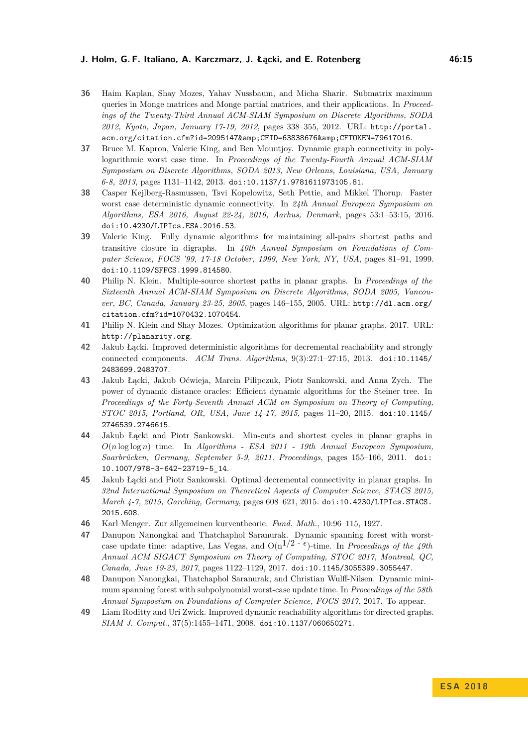#### **J. Holm, G. F. Italiano, A. Karczmarz, J. Łącki, and E. Rotenberg 46:15**

- <span id="page-14-7"></span>**36** Haim Kaplan, Shay Mozes, Yahav Nussbaum, and Micha Sharir. Submatrix maximum queries in Monge matrices and Monge partial matrices, and their applications. In *Proceedings of the Twenty-Third Annual ACM-SIAM Symposium on Discrete Algorithms, SODA 2012, Kyoto, Japan, January 17-19, 2012*, pages 338–355, 2012. URL: [http://portal.](http://portal.acm.org/citation.cfm?id=2095147&CFID=63838676&CFTOKEN=79617016) [acm.org/citation.cfm?id=2095147&CFID=63838676&CFTOKEN=79617016](http://portal.acm.org/citation.cfm?id=2095147&CFID=63838676&CFTOKEN=79617016).
- <span id="page-14-0"></span>**37** Bruce M. Kapron, Valerie King, and Ben Mountjoy. Dynamic graph connectivity in polylogarithmic worst case time. In *Proceedings of the Twenty-Fourth Annual ACM-SIAM Symposium on Discrete Algorithms, SODA 2013, New Orleans, Louisiana, USA, January 6-8, 2013*, pages 1131–1142, 2013. [doi:10.1137/1.9781611973105.81](http://dx.doi.org/10.1137/1.9781611973105.81).
- <span id="page-14-9"></span>**38** Casper Kejlberg-Rasmussen, Tsvi Kopelowitz, Seth Pettie, and Mikkel Thorup. Faster worst case deterministic dynamic connectivity. In *24th Annual European Symposium on Algorithms, ESA 2016, August 22-24, 2016, Aarhus, Denmark*, pages 53:1–53:15, 2016. [doi:10.4230/LIPIcs.ESA.2016.53](http://dx.doi.org/10.4230/LIPIcs.ESA.2016.53).
- <span id="page-14-1"></span>**39** Valerie King. Fully dynamic algorithms for maintaining all-pairs shortest paths and transitive closure in digraphs. In *40th Annual Symposium on Foundations of Computer Science, FOCS '99, 17-18 October, 1999, New York, NY, USA*, pages 81–91, 1999. [doi:10.1109/SFFCS.1999.814580](http://dx.doi.org/10.1109/SFFCS.1999.814580).
- <span id="page-14-8"></span>**40** Philip N. Klein. Multiple-source shortest paths in planar graphs. In *Proceedings of the Sixteenth Annual ACM-SIAM Symposium on Discrete Algorithms, SODA 2005, Vancouver, BC, Canada, January 23-25, 2005*, pages 146–155, 2005. URL: [http://dl.acm.org/](http://dl.acm.org/citation.cfm?id=1070432.1070454) [citation.cfm?id=1070432.1070454](http://dl.acm.org/citation.cfm?id=1070432.1070454).
- <span id="page-14-13"></span>**41** Philip N. Klein and Shay Mozes. Optimization algorithms for planar graphs, 2017. URL: <http://planarity.org>.
- <span id="page-14-3"></span>**42** Jakub Łącki. Improved deterministic algorithms for decremental reachability and strongly connected components. *ACM Trans. Algorithms*, 9(3):27:1–27:15, 2013. [doi:10.1145/](http://dx.doi.org/10.1145/2483699.2483707) [2483699.2483707](http://dx.doi.org/10.1145/2483699.2483707).
- <span id="page-14-4"></span>**43** Jakub Łącki, Jakub Oćwieja, Marcin Pilipczuk, Piotr Sankowski, and Anna Zych. The power of dynamic distance oracles: Efficient dynamic algorithms for the Steiner tree. In *Proceedings of the Forty-Seventh Annual ACM on Symposium on Theory of Computing, STOC 2015, Portland, OR, USA, June 14-17, 2015*, pages 11–20, 2015. [doi:10.1145/](http://dx.doi.org/10.1145/2746539.2746615) [2746539.2746615](http://dx.doi.org/10.1145/2746539.2746615).
- <span id="page-14-5"></span>**44** Jakub Łącki and Piotr Sankowski. Min-cuts and shortest cycles in planar graphs in *O*(*n* log log *n*) time. In *Algorithms - ESA 2011 - 19th Annual European Symposium, Saarbr¨ucken, Germany, September 5-9, 2011. Proceedings*, pages 155–166, 2011. [doi:](http://dx.doi.org/10.1007/978-3-642-23719-5_14) [10.1007/978-3-642-23719-5\\_14](http://dx.doi.org/10.1007/978-3-642-23719-5_14).
- <span id="page-14-6"></span>**45** Jakub Łącki and Piotr Sankowski. Optimal decremental connectivity in planar graphs. In *32nd International Symposium on Theoretical Aspects of Computer Science, STACS 2015, March 4-7, 2015, Garching, Germany*, pages 608–621, 2015. [doi:10.4230/LIPIcs.STACS.](http://dx.doi.org/10.4230/LIPIcs.STACS.2015.608) [2015.608](http://dx.doi.org/10.4230/LIPIcs.STACS.2015.608).
- <span id="page-14-12"></span>**46** Karl Menger. Zur allgemeinen kurventheorie. *Fund. Math.*, 10:96–115, 1927.
- <span id="page-14-10"></span>**47** Danupon Nanongkai and Thatchaphol Saranurak. Dynamic spanning forest with worstcase update time: adaptive, Las Vegas, and  $O(n^{1/2 - \epsilon})$ -time. In *Proceedings of the 49th Annual ACM SIGACT Symposium on Theory of Computing, STOC 2017, Montreal, QC, Canada, June 19-23, 2017*, pages 1122–1129, 2017. [doi:10.1145/3055399.3055447](http://dx.doi.org/10.1145/3055399.3055447).
- <span id="page-14-11"></span>**48** Danupon Nanongkai, Thatchaphol Saranurak, and Christian Wulff-Nilsen. Dynamic minimum spanning forest with subpolynomial worst-case update time. In *Proceedings of the 58th Annual Symposium on Foundations of Computer Science, FOCS 2017*, 2017. To appear.
- <span id="page-14-2"></span>**49** Liam Roditty and Uri Zwick. Improved dynamic reachability algorithms for directed graphs. *SIAM J. Comput.*, 37(5):1455–1471, 2008. [doi:10.1137/060650271](http://dx.doi.org/10.1137/060650271).